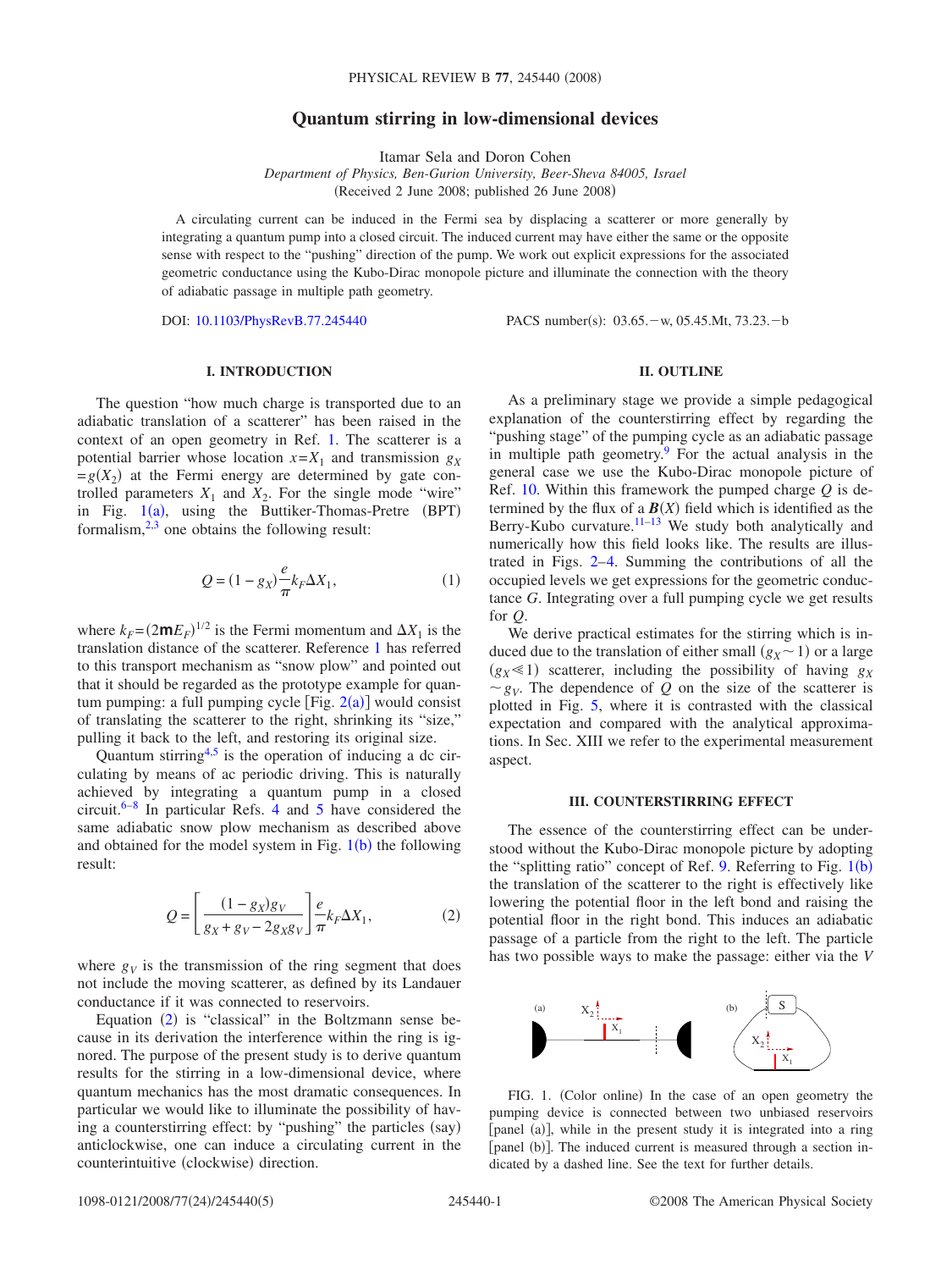# **Quantum stirring in low-dimensional devices**

Itamar Sela and Doron Cohen

*Department of Physics, Ben-Gurion University, Beer-Sheva 84005, Israel* (Received 2 June 2008; published 26 June 2008)

A circulating current can be induced in the Fermi sea by displacing a scatterer or more generally by integrating a quantum pump into a closed circuit. The induced current may have either the same or the opposite sense with respect to the "pushing" direction of the pump. We work out explicit expressions for the associated geometric conductance using the Kubo-Dirac monopole picture and illuminate the connection with the theory of adiabatic passage in multiple path geometry.

DOI: [10.1103/PhysRevB.77.245440](http://dx.doi.org/10.1103/PhysRevB.77.245440)

PACS number(s): 03.65. - w, 05.45. Mt, 73.23. - b

# **I. INTRODUCTION**

The question "how much charge is transported due to an adiabatic translation of a scatterer" has been raised in the context of an open geometry in Ref. [1.](#page-4-0) The scatterer is a potential barrier whose location  $x = X_1$  and transmission  $g_X$  $=g(X_2)$  at the Fermi energy are determined by gate controlled parameters  $X_1$  and  $X_2$ . For the single mode "wire" in Fig.  $1(a)$  $1(a)$ , using the Buttiker-Thomas-Pretre (BPT) formalism, $2,3$  $2,3$  one obtains the following result:

$$
Q = (1 - g_X) \frac{e}{\pi} k_F \Delta X_1, \qquad (1)
$$

where  $k_F = (2mE_F)^{1/2}$  is the Fermi momentum and  $\Delta X_1$  is the translation distance of the scatterer. Reference [1](#page-4-0) has referred to this transport mechanism as "snow plow" and pointed out that it should be regarded as the prototype example for quantum pumping: a full pumping cycle  $[Fig. 2(a)]$  $[Fig. 2(a)]$  $[Fig. 2(a)]$  would consist of translating the scatterer to the right, shrinking its "size," pulling it back to the left, and restoring its original size.

Quantum stirring $4,5$  $4,5$  is the operation of inducing a dc circulating by means of ac periodic driving. This is naturally achieved by integrating a quantum pump in a closed circuit.<sup>6[–8](#page-4-6)</sup> In particular Refs. [4](#page-4-3) and [5](#page-4-4) have considered the same adiabatic snow plow mechanism as described above and obtained for the model system in Fig.  $1(b)$  $1(b)$  the following result:

$$
Q = \left[ \frac{(1 - g_X)g_V}{g_X + g_V - 2g_X g_V} \right] \frac{e}{\pi} k_F \Delta X_1,
$$
 (2)

<span id="page-0-1"></span>where  $g_V$  is the transmission of the ring segment that does not include the moving scatterer, as defined by its Landauer conductance if it was connected to reservoirs.

Equation  $(2)$  $(2)$  $(2)$  is "classical" in the Boltzmann sense because in its derivation the interference within the ring is ignored. The purpose of the present study is to derive quantum results for the stirring in a low-dimensional device, where quantum mechanics has the most dramatic consequences. In particular we would like to illuminate the possibility of having a counterstirring effect: by "pushing" the particles (say) anticlockwise, one can induce a circulating current in the counterintuitive (clockwise) direction.

# **II. OUTLINE**

As a preliminary stage we provide a simple pedagogical explanation of the counterstirring effect by regarding the "pushing stage" of the pumping cycle as an adiabatic passage in multiple path geometry. For the actual analysis in the general case we use the Kubo-Dirac monopole picture of Ref. [10.](#page-4-8) Within this framework the pumped charge *Q* is determined by the flux of a  $\mathbf{B}(X)$  field which is identified as the Berry-Kubo curvature.<sup>11-13</sup> We study both analytically and numerically how this field looks like. The results are illustrated in Figs. [2–](#page-1-0)[4.](#page-1-1) Summing the contributions of all the occupied levels we get expressions for the geometric conductance *G*. Integrating over a full pumping cycle we get results for *Q*.

We derive practical estimates for the stirring which is induced due to the translation of either small  $(g_X \sim 1)$  or a large  $(g_X \le 1)$  scatterer, including the possibility of having  $g_X$  $g_V$ . The dependence of *Q* on the size of the scatterer is plotted in Fig. [5,](#page-2-0) where it is contrasted with the classical expectation and compared with the analytical approximations. In Sec. XIII we refer to the experimental measurement aspect.

#### **III. COUNTERSTIRRING EFFECT**

The essence of the counterstirring effect can be understood without the Kubo-Dirac monopole picture by adopting the "splitting ratio" concept of Ref. [9.](#page-4-7) Referring to Fig.  $1(b)$  $1(b)$ the translation of the scatterer to the right is effectively like lowering the potential floor in the left bond and raising the potential floor in the right bond. This induces an adiabatic passage of a particle from the right to the left. The particle has two possible ways to make the passage: either via the *V*

<span id="page-0-0"></span>

FIG. 1. (Color online) In the case of an open geometry the pumping device is connected between two unbiased reservoirs [panel (a)], while in the present study it is integrated into a ring [panel (b)]. The induced current is measured through a section indicated by a dashed line. See the text for further details.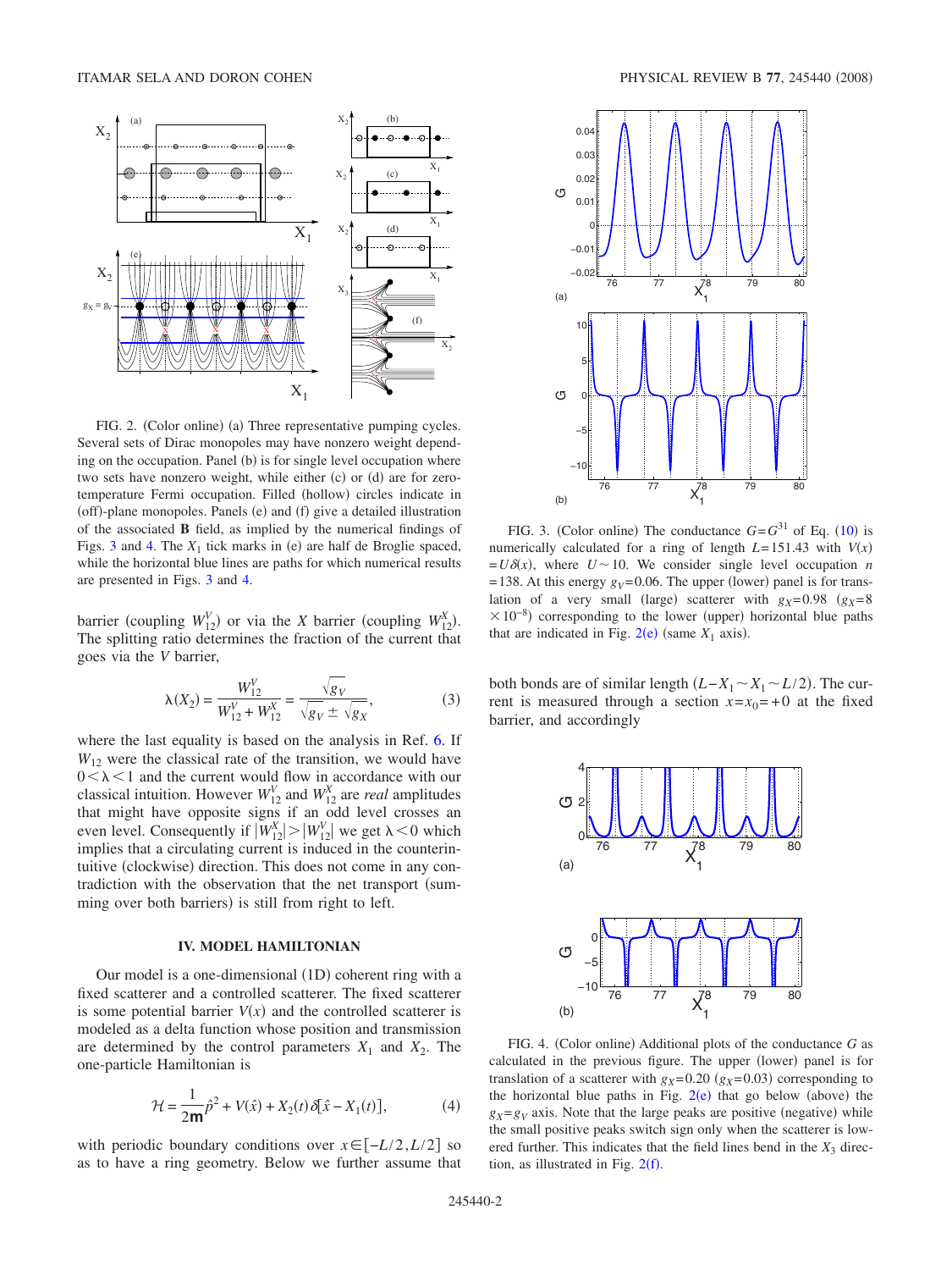<span id="page-1-0"></span>

FIG. 2. (Color online) (a) Three representative pumping cycles. Several sets of Dirac monopoles may have nonzero weight depending on the occupation. Panel (b) is for single level occupation where two sets have nonzero weight, while either (c) or (d) are for zerotemperature Fermi occupation. Filled (hollow) circles indicate in (off)-plane monopoles. Panels (e) and (f) give a detailed illustration of the associated **B** field, as implied by the numerical findings of Figs. [3](#page-1-2) and [4.](#page-1-1) The  $X_1$  tick marks in (e) are half de Broglie spaced, while the horizontal blue lines are paths for which numerical results are presented in Figs. [3](#page-1-2) and [4.](#page-1-1)

barrier (coupling  $W_{12}^V$ ) or via the *X* barrier (coupling  $W_{12}^X$ ). The splitting ratio determines the fraction of the current that goes via the *V* barrier,

$$
\lambda(X_2) = \frac{W_{12}^V}{W_{12}^V + W_{12}^X} = \frac{\sqrt{g_V}}{\sqrt{g_V \pm \sqrt{g_X}}},
$$
\n(3)

where the last equality is based on the analysis in Ref. [6.](#page-4-5) If  $W_{12}$  were the classical rate of the transition, we would have  $0<\lambda<1$  and the current would flow in accordance with our classical intuition. However  $W_{12}^V$  and  $W_{12}^X$  are *real* amplitudes that might have opposite signs if an odd level crosses an even level. Consequently if  $|W_{12}^X| > |W_{12}^V|$  we get  $\lambda < 0$  which implies that a circulating current is induced in the counterintuitive (clockwise) direction. This does not come in any contradiction with the observation that the net transport (summing over both barriers) is still from right to left.

#### **IV. MODEL HAMILTONIAN**

Our model is a one-dimensional (1D) coherent ring with a fixed scatterer and a controlled scatterer. The fixed scatterer is some potential barrier  $V(x)$  and the controlled scatterer is modeled as a delta function whose position and transmission are determined by the control parameters  $X_1$  and  $X_2$ . The one-particle Hamiltonian is

$$
\mathcal{H} = \frac{1}{2m}\hat{p}^2 + V(\hat{x}) + X_2(t)\,\delta[\hat{x} - X_1(t)],\tag{4}
$$

with periodic boundary conditions over  $x \in [-L/2, L/2]$  so as to have a ring geometry. Below we further assume that

<span id="page-1-2"></span>

FIG. 3. (Color online) The conductance  $G = G^{31}$  of Eq. ([10](#page-2-1)) is numerically calculated for a ring of length  $L=151.43$  with  $V(x)$  $= U\delta(x)$ , where  $U \sim 10$ . We consider single level occupation *n*  $=138$ . At this energy  $g_V=0.06$ . The upper (lower) panel is for translation of a very small (large) scatterer with  $g_X=0.98$  ( $g_X=8$ )  $\times 10^{-8}$ ) corresponding to the lower (upper) horizontal blue paths that are indicated in Fig.  $2(e)$  $2(e)$  (same  $X_1$  axis).

both bonds are of similar length  $(L-X_1 \sim X_1 \sim L/2)$ . The current is measured through a section  $x=x_0=+0$  at the fixed barrier, and accordingly

<span id="page-1-1"></span>

FIG. 4. (Color online) Additional plots of the conductance *G* as calculated in the previous figure. The upper (lower) panel is for translation of a scatterer with  $g_X = 0.20$  ( $g_X = 0.03$ ) corresponding to the horizontal blue paths in Fig.  $2(e)$  $2(e)$  that go below (above) the  $g_X = g_V$  axis. Note that the large peaks are positive (negative) while the small positive peaks switch sign only when the scatterer is lowered further. This indicates that the field lines bend in the  $X_3$  direction, as illustrated in Fig.  $2(f)$  $2(f)$ .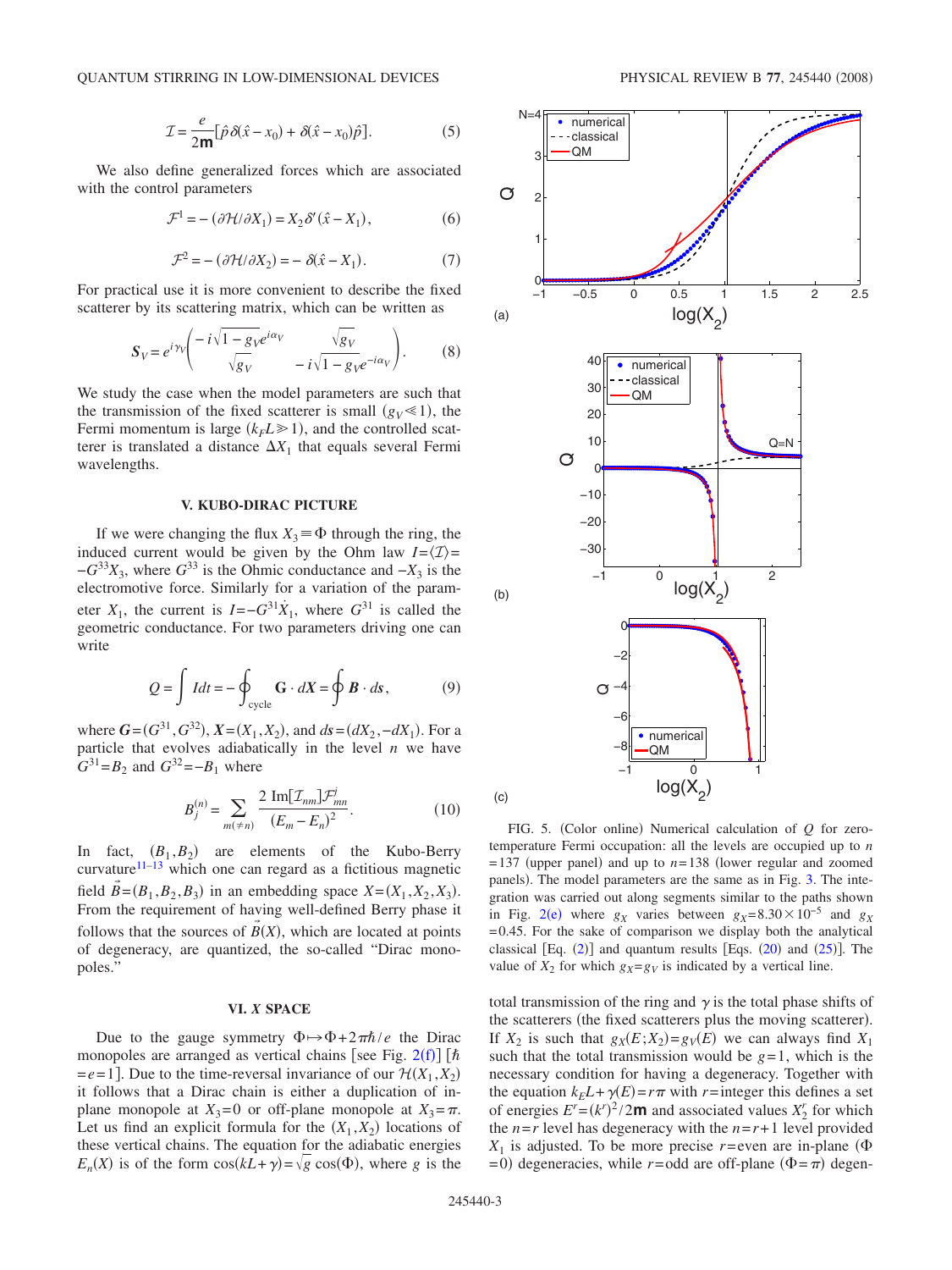$$
\mathcal{I} = \frac{e}{2m} [\hat{p}\,\delta(\hat{x} - x_0) + \delta(\hat{x} - x_0)\hat{p}].\tag{5}
$$

We also define generalized forces which are associated with the control parameters

$$
\mathcal{F}^1 = -\left(\partial \mathcal{H}/\partial X_1\right) = X_2 \delta'(\hat{x} - X_1),\tag{6}
$$

$$
\mathcal{F}^2 = -\left(\partial \mathcal{H}/\partial X_2\right) = -\delta(\hat{x} - X_1). \tag{7}
$$

For practical use it is more convenient to describe the fixed scatterer by its scattering matrix, which can be written as

$$
S_V = e^{i\gamma_V} \left( \frac{-i\sqrt{1 - g_V} e^{i\alpha_V}}{\sqrt{g_V}} - i\sqrt{1 - g_V} e^{-i\alpha_V} \right). \tag{8}
$$

We study the case when the model parameters are such that the transmission of the fixed scatterer is small  $(g_V \ll 1)$ , the Fermi momentum is large  $(k_F L \ge 1)$ , and the controlled scatterer is translated a distance  $\Delta X_1$  that equals several Fermi wavelengths.

## **V. KUBO-DIRAC PICTURE**

If we were changing the flux  $X_3 \equiv \Phi$  through the ring, the induced current would be given by the Ohm law  $I = \langle I \rangle =$  $-G^{33}X_3$ , where  $G^{33}$  is the Ohmic conductance and  $-X_3$  is the electromotive force. Similarly for a variation of the parameter  $X_1$ , the current is  $I = -G^{31} \dot{X}_1$ , where  $G^{31}$  is called the geometric conductance. For two parameters driving one can write

$$
Q = \int I dt = -\oint_{\text{cycle}} \mathbf{G} \cdot d\mathbf{X} = \oint \mathbf{B} \cdot d\mathbf{s},\tag{9}
$$

<span id="page-2-2"></span>where  $G = (G^{31}, G^{32}), X = (X_1, X_2),$  and  $ds = (dX_2, -dX_1)$ . For a particle that evolves adiabatically in the level *n* we have  $G^{31} = B_2$  and  $G^{32} = -B_1$  where

$$
B_j^{(n)} = \sum_{m(\neq n)} \frac{2 \operatorname{Im}[\mathcal{I}_{nm}]\mathcal{F}_{mn}^j}{(E_m - E_n)^2}.
$$
 (10)

<span id="page-2-1"></span>In fact,  $(B_1, B_2)$  are elements of the Kubo-Berry curvature $11-13$  which one can regard as a fictitious magnetic field  $\vec{B} = (B_1, B_2, B_3)$  in an embedding space  $X = (X_1, X_2, X_3)$ . From the requirement of having well-defined Berry phase it follows that the sources of  $B(X)$ , which are located at points of degeneracy, are quantized, the so-called "Dirac monopoles."

### **VI.** *X* **SPACE**

Due to the gauge symmetry  $\Phi \mapsto \Phi + 2\pi \hbar / e$  the Dirac monopoles are arranged as vertical chains [see Fig. [2](#page-1-0)(f)] [ $\hbar$  $=e=1$ . Due to the time-reversal invariance of our  $\mathcal{H}(X_1, X_2)$ it follows that a Dirac chain is either a duplication of inplane monopole at  $X_3 = 0$  or off-plane monopole at  $X_3 = \pi$ . Let us find an explicit formula for the  $(X_1, X_2)$  locations of these vertical chains. The equation for the adiabatic energies  $E_n(X)$  is of the form  $cos(kL+\gamma) = \sqrt{g} cos(\Phi)$ , where *g* is the

<span id="page-2-0"></span>

FIG. 5. (Color online) Numerical calculation of *Q* for zerotemperature Fermi occupation: all the levels are occupied up to *n*  $=137$  (upper panel) and up to  $n=138$  (lower regular and zoomed panels). The model parameters are the same as in Fig. [3.](#page-1-2) The integration was carried out along segments similar to the paths shown in Fig. [2](#page-1-0)(e) where  $g_X$  varies between  $g_X = 8.30 \times 10^{-5}$  and  $g_X$ =0.45. For the sake of comparison we display both the analytical classical  $[Eq. (2)]$  $[Eq. (2)]$  $[Eq. (2)]$  and quantum results  $[Eqs. (20)$  $[Eqs. (20)$  $[Eqs. (20)$  and  $(25)]$  $(25)]$  $(25)]$ . The value of  $X_2$  for which  $g_X = g_V$  is indicated by a vertical line.

total transmission of the ring and  $\gamma$  is the total phase shifts of the scatterers (the fixed scatterers plus the moving scatterer). If  $X_2$  is such that  $g_X(E; X_2) = g_V(E)$  we can always find  $X_1$ such that the total transmission would be  $g=1$ , which is the necessary condition for having a degeneracy. Together with the equation  $k_E L + \gamma(E) = r\pi$  with *r*=integer this defines a set of energies  $E^r = (k^r)^2 / 2m$  and associated values  $X_2^r$  for which the  $n=r$  level has degeneracy with the  $n=r+1$  level provided  $X_1$  is adjusted. To be more precise *r*=even are in-plane ( $\Phi$  $= 0$ ) degeneracies, while *r*=odd are off-plane  $(\Phi = \pi)$  degen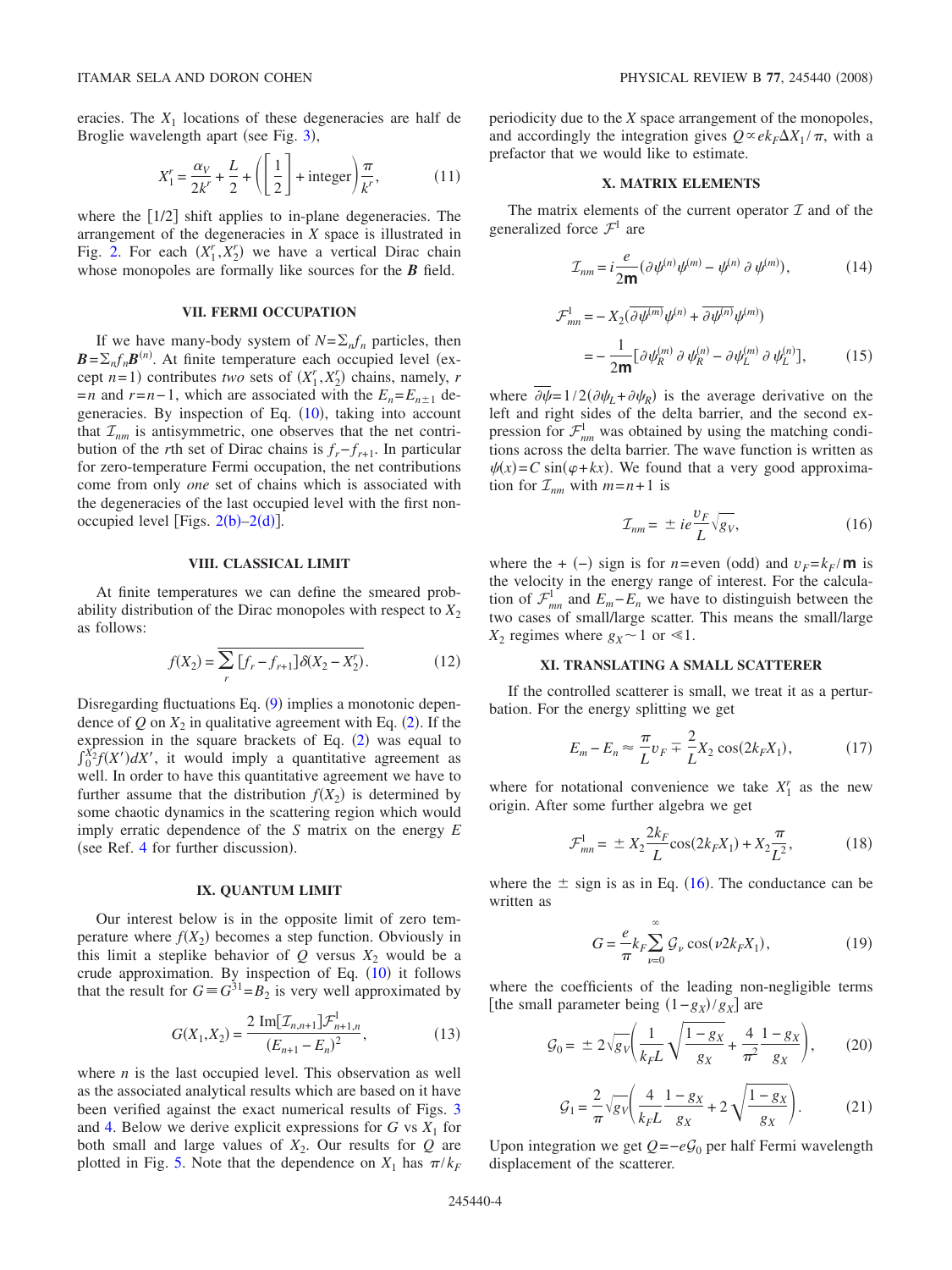eracies. The  $X_1$  locations of these degeneracies are half de Broglie wavelength apart (see Fig. [3](#page-1-2)),

$$
X_1^r = \frac{\alpha_V}{2k^r} + \frac{L}{2} + \left( \left[ \frac{1}{2} \right] + \text{integer} \right) \frac{\pi}{k^r},\tag{11}
$$

where the  $\lceil 1/2 \rceil$  shift applies to in-plane degeneracies. The arrangement of the degeneracies in *X* space is illustrated in Fig. [2.](#page-1-0) For each  $(X_1^r, X_2^r)$  we have a vertical Dirac chain whose monopoles are formally like sources for the *B* field.

## **VII. FERMI OCCUPATION**

If we have many-body system of  $N = \sum_n f_n$  particles, then  $B = \sum_n f_n B^{(n)}$ . At finite temperature each occupied level (except  $n=1$ ) contributes *two* sets of  $(X_1^r, X_2^r)$  chains, namely, *r*  $=n$  and  $r=n-1$ , which are associated with the  $E_n = E_{n+1}$  de-generacies. By inspection of Eq. ([10](#page-2-1)), taking into account that  $\mathcal{I}_{nm}$  is antisymmetric, one observes that the net contribution of the *r*th set of Dirac chains is  $f_r - f_{r+1}$ . In particular for zero-temperature Fermi occupation, the net contributions come from only *one* set of chains which is associated with the degeneracies of the last occupied level with the first nonoccupied level [Figs.  $2(b)-2(d)$  $2(b)-2(d)$ ].

### **VIII. CLASSICAL LIMIT**

At finite temperatures we can define the smeared probability distribution of the Dirac monopoles with respect to  $X_2$ as follows:

$$
f(X_2) = \sum_{r} [f_r - f_{r+1}] \delta(X_2 - X_2').
$$
 (12)

Disregarding fluctuations Eq. ([9](#page-2-2)) implies a monotonic dependence of  $Q$  on  $X_2$  $X_2$  in qualitative agreement with Eq. (2). If the expression in the square brackets of Eq.  $(2)$  $(2)$  $(2)$  was equal to  $\int_0^{X_2} f(X') dX'$ , it would imply a quantitative agreement as well. In order to have this quantitative agreement we have to further assume that the distribution  $f(X_2)$  is determined by some chaotic dynamics in the scattering region which would imply erratic dependence of the *S* matrix on the energy *E* (see Ref. [4](#page-4-3) for further discussion).

#### **IX. QUANTUM LIMIT**

Our interest below is in the opposite limit of zero temperature where  $f(X_2)$  becomes a step function. Obviously in this limit a steplike behavior of  $Q$  versus  $X_2$  would be a crude approximation. By inspection of Eq.  $(10)$  $(10)$  $(10)$  it follows that the result for  $G \equiv G^{31} = B_2$  is very well approximated by

$$
G(X_1, X_2) = \frac{2 \operatorname{Im}[\mathcal{I}_{n,n+1}]\mathcal{F}_{n+1,n}^1}{(E_{n+1} - E_n)^2},
$$
\n(13)

where *n* is the last occupied level. This observation as well as the associated analytical results which are based on it have been verified against the exact numerical results of Figs. [3](#page-1-2) and [4.](#page-1-1) Below we derive explicit expressions for  $G$  vs  $X_1$  for both small and large values of  $X_2$ . Our results for  $Q$  are plotted in Fig. [5.](#page-2-0) Note that the dependence on  $X_1$  has  $\pi/k_F$ 

periodicity due to the *X* space arrangement of the monopoles, and accordingly the integration gives  $Q \propto e k_F \Delta X_1 / \pi$ , with a prefactor that we would like to estimate.

#### **X. MATRIX ELEMENTS**

The matrix elements of the current operator  $\mathcal I$  and of the generalized force  $\mathcal{F}^1$  are

$$
\mathcal{I}_{nm} = i\frac{e}{2m}(\partial\psi^{(n)}\psi^{(m)} - \psi^{(n)}\partial\psi^{(m)}),\tag{14}
$$

$$
\mathcal{F}_{mn}^{1} = -X_{2}(\partial \psi^{(m)} \psi^{(n)} + \partial \psi^{(n)} \psi^{(m)})
$$

$$
= -\frac{1}{2m} [\partial \psi_{R}^{(m)} \partial \psi_{R}^{(n)} - \partial \psi_{L}^{(m)} \partial \psi_{L}^{(n)}], \qquad (15)
$$

where  $\partial \psi = 1/2(\partial \psi_L + \partial \psi_R)$  is the average derivative on the left and right sides of the delta barrier, and the second expression for  $\mathcal{F}^1_{nm}$  was obtained by using the matching conditions across the delta barrier. The wave function is written as  $\psi(x) = C \sin(\varphi + kx)$ . We found that a very good approximation for  $\mathcal{I}_{nm}$  with  $m=n+1$  is

$$
\mathcal{I}_{nm} = \pm ie \frac{v_F}{L} \sqrt{g_V},\tag{16}
$$

<span id="page-3-1"></span>where the +  $(-)$  sign is for *n*=even (odd) and  $v_F = k_F / \mathbf{m}$  is the velocity in the energy range of interest. For the calculation of  $\mathcal{F}^1_{mn}$  and  $E_m - E_n$  we have to distinguish between the two cases of small/large scatter. This means the small/large  $X_2$  regimes where  $g_X \sim 1$  or  $\le 1$ .

## **XI. TRANSLATING A SMALL SCATTERER**

If the controlled scatterer is small, we treat it as a perturbation. For the energy splitting we get

$$
E_m - E_n \approx \frac{\pi}{L} v_F \mp \frac{2}{L} X_2 \cos(2k_F X_1),
$$
 (17)

where for notational convenience we take  $X_1^r$  as the new origin. After some further algebra we get

$$
\mathcal{F}_{mn}^1 = \pm X_2 \frac{2k_F}{L} \cos(2k_F X_1) + X_2 \frac{\pi}{L^2},\tag{18}
$$

where the  $\pm$  sign is as in Eq. ([16](#page-3-1)). The conductance can be written as

$$
G = \frac{e}{\pi} k_F \sum_{\nu=0}^{\infty} \mathcal{G}_{\nu} \cos(\nu 2k_F X_1), \qquad (19)
$$

where the coefficients of the leading non-negligible terms [the small parameter being  $(1-g_X)/g_X$ ] are

<span id="page-3-0"></span>
$$
G_0 = \pm 2\sqrt{g_V} \left( \frac{1}{k_F L} \sqrt{\frac{1 - g_X}{g_X}} + \frac{4}{\pi^2} \frac{1 - g_X}{g_X} \right), \qquad (20)
$$

$$
G_1 = \frac{2}{\pi} \sqrt{g_V} \left( \frac{4}{k_F L} \frac{1 - g_X}{g_X} + 2 \sqrt{\frac{1 - g_X}{g_X}} \right). \tag{21}
$$

Upon integration we get *Q* = −*e* $G_0$  per half Fermi wavelength displacement of the scatterer.